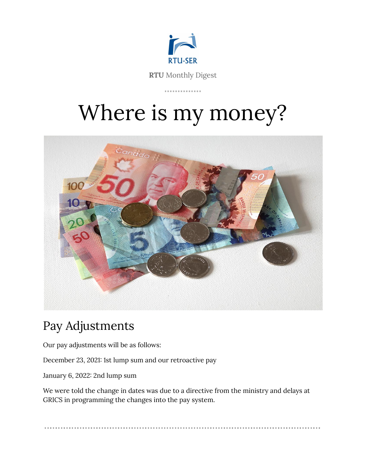

**RTU** Monthly Digest

. . . . . . . . . . . . . .

# Where is my money?



# Pay Adjustments

Our pay adjustments will be as follows:

December 23, 2021: 1st lump sum and our retroactive pay

January 6, 2022: 2nd lump sum

We were told the change in dates was due to a directive from the ministry and delays at GRICS in programming the changes into the pay system.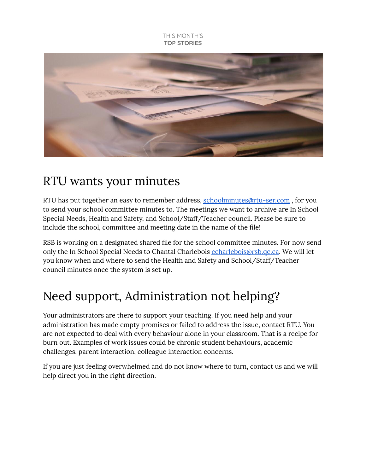#### THIS MONTH'S **TOP STORIES**



### RTU wants your minutes

RTU has put together an easy to remember address, [schoolminutes@rtu-ser.com](mailto:schoolminutes@rtu-ser.com) , for you to send your school committee minutes to. The meetings we want to archive are In School Special Needs, Health and Safety, and School/Staff/Teacher council. Please be sure to include the school, committee and meeting date in the name of the file!

RSB is working on a designated shared file for the school committee minutes. For now send only the In School Special Needs to Chantal Charlebois [ccharlebois@rsb.qc.ca.](mailto:ccharlebois@rsb.qc.ca) We will let you know when and where to send the Health and Safety and School/Staff/Teacher council minutes once the system is set up.

# Need support, Administration not helping?

Your administrators are there to support your teaching. If you need help and your administration has made empty promises or failed to address the issue, contact RTU. You are not expected to deal with every behaviour alone in your classroom. That is a recipe for burn out. Examples of work issues could be chronic student behaviours, academic challenges, parent interaction, colleague interaction concerns.

If you are just feeling overwhelmed and do not know where to turn, contact us and we will help direct you in the right direction.